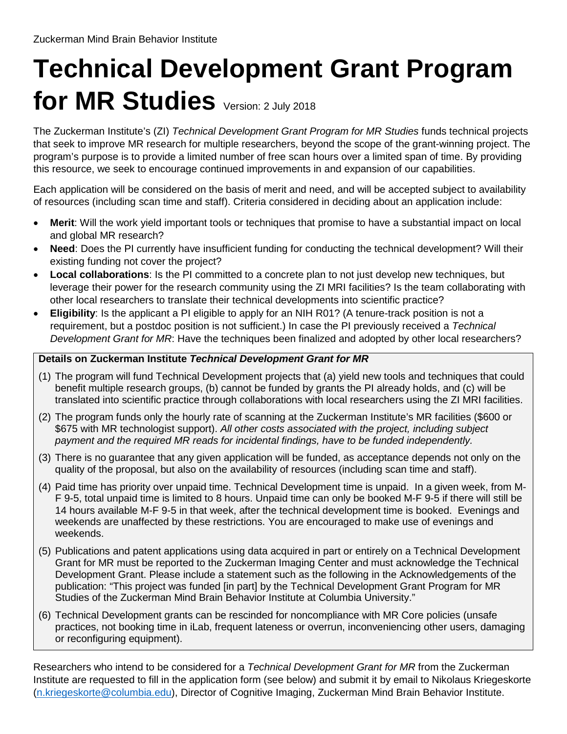## **Technical Development Grant Program for MR Studies** Version: 2 July 2018

The Zuckerman Institute's (ZI) *Technical Development Grant Program for MR Studies* funds technical projects that seek to improve MR research for multiple researchers, beyond the scope of the grant-winning project. The program's purpose is to provide a limited number of free scan hours over a limited span of time. By providing this resource, we seek to encourage continued improvements in and expansion of our capabilities.

Each application will be considered on the basis of merit and need, and will be accepted subject to availability of resources (including scan time and staff). Criteria considered in deciding about an application include:

- **Merit**: Will the work yield important tools or techniques that promise to have a substantial impact on local and global MR research?
- **Need**: Does the PI currently have insufficient funding for conducting the technical development? Will their existing funding not cover the project?
- **Local collaborations**: Is the PI committed to a concrete plan to not just develop new techniques, but leverage their power for the research community using the ZI MRI facilities? Is the team collaborating with other local researchers to translate their technical developments into scientific practice?
- **Eligibility**: Is the applicant a PI eligible to apply for an NIH R01? (A tenure-track position is not a requirement, but a postdoc position is not sufficient.) In case the PI previously received a *Technical Development Grant for MR*: Have the techniques been finalized and adopted by other local researchers?

## **Details on Zuckerman Institute** *Technical Development Grant for MR*

- (1) The program will fund Technical Development projects that (a) yield new tools and techniques that could benefit multiple research groups, (b) cannot be funded by grants the PI already holds, and (c) will be translated into scientific practice through collaborations with local researchers using the ZI MRI facilities.
- (2) The program funds only the hourly rate of scanning at the Zuckerman Institute's MR facilities (\$600 or \$675 with MR technologist support). *All other costs associated with the project, including subject payment and the required MR reads for incidental findings, have to be funded independently.*
- (3) There is no guarantee that any given application will be funded, as acceptance depends not only on the quality of the proposal, but also on the availability of resources (including scan time and staff).
- (4) Paid time has priority over unpaid time. Technical Development time is unpaid. In a given week, from M-F 9-5, total unpaid time is limited to 8 hours. Unpaid time can only be booked M-F 9-5 if there will still be 14 hours available M-F 9-5 in that week, after the technical development time is booked. Evenings and weekends are unaffected by these restrictions. You are encouraged to make use of evenings and weekends.
- (5) Publications and patent applications using data acquired in part or entirely on a Technical Development Grant for MR must be reported to the Zuckerman Imaging Center and must acknowledge the Technical Development Grant. Please include a statement such as the following in the Acknowledgements of the publication: "This project was funded [in part] by the Technical Development Grant Program for MR Studies of the Zuckerman Mind Brain Behavior Institute at Columbia University."
- (6) Technical Development grants can be rescinded for noncompliance with MR Core policies (unsafe practices, not booking time in iLab, frequent lateness or overrun, inconveniencing other users, damaging or reconfiguring equipment).

Researchers who intend to be considered for a *Technical Development Grant for MR* from the Zuckerman Institute are requested to fill in the application form (see below) and submit it by email to Nikolaus Kriegeskorte (n.kriegeskorte@columbia.edu), Director of Cognitive Imaging, Zuckerman Mind Brain Behavior Institute.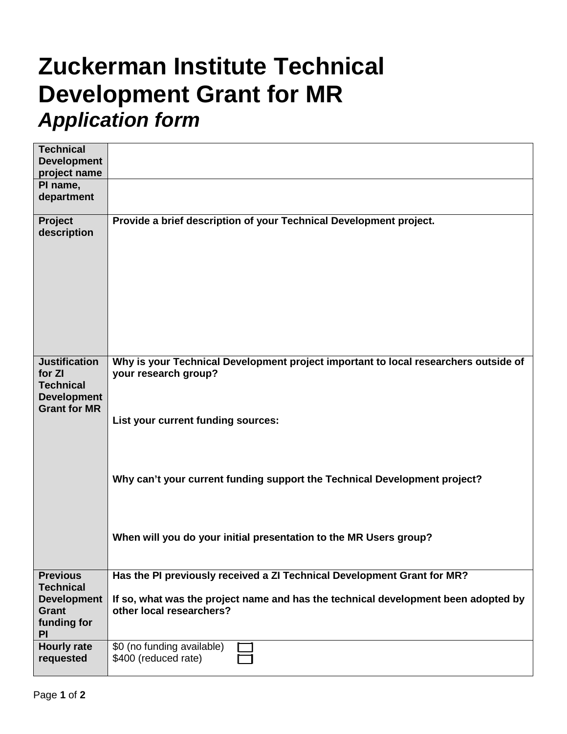## **Zuckerman Institute Technical Development Grant for MR** *Application form*

| <b>Technical</b>                    |                                                                                     |
|-------------------------------------|-------------------------------------------------------------------------------------|
| <b>Development</b>                  |                                                                                     |
| project name                        |                                                                                     |
| PI name,                            |                                                                                     |
| department                          |                                                                                     |
|                                     |                                                                                     |
| Project<br>description              | Provide a brief description of your Technical Development project.                  |
|                                     |                                                                                     |
|                                     |                                                                                     |
|                                     |                                                                                     |
|                                     |                                                                                     |
|                                     |                                                                                     |
|                                     |                                                                                     |
|                                     |                                                                                     |
|                                     |                                                                                     |
|                                     |                                                                                     |
| <b>Justification</b>                | Why is your Technical Development project important to local researchers outside of |
| for ZI                              | your research group?                                                                |
| <b>Technical</b>                    |                                                                                     |
| <b>Development</b>                  |                                                                                     |
| <b>Grant for MR</b>                 | List your current funding sources:                                                  |
|                                     |                                                                                     |
|                                     |                                                                                     |
|                                     |                                                                                     |
|                                     |                                                                                     |
|                                     | Why can't your current funding support the Technical Development project?           |
|                                     |                                                                                     |
|                                     |                                                                                     |
|                                     |                                                                                     |
|                                     | When will you do your initial presentation to the MR Users group?                   |
|                                     |                                                                                     |
|                                     |                                                                                     |
| <b>Previous</b><br><b>Technical</b> | Has the PI previously received a ZI Technical Development Grant for MR?             |
| <b>Development</b>                  | If so, what was the project name and has the technical development been adopted by  |
| <b>Grant</b>                        | other local researchers?                                                            |
| funding for                         |                                                                                     |
| <b>PI</b>                           |                                                                                     |
| <b>Hourly rate</b>                  | \$0 (no funding available)                                                          |
| requested                           | \$400 (reduced rate)                                                                |
|                                     |                                                                                     |